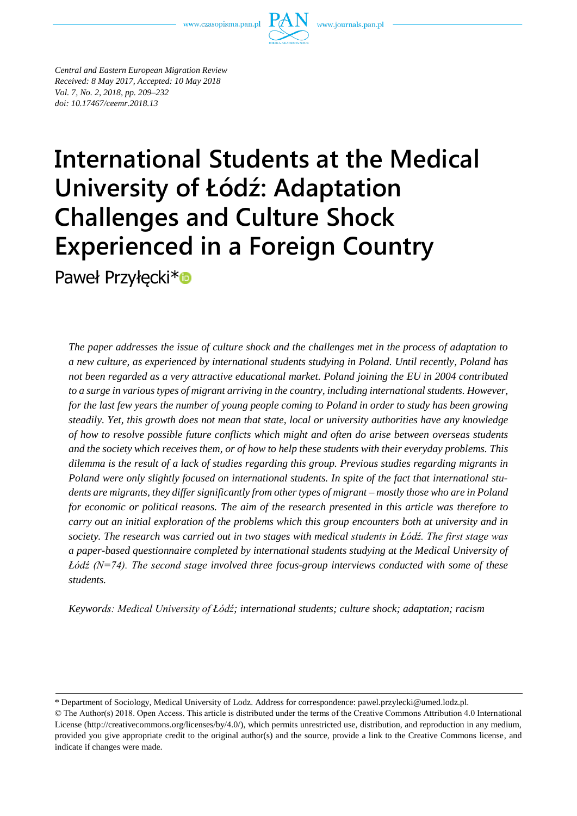

*Central and Eastern European Migration Review Received: 8 May 2017, Accepted: 10 May 2018 Vol. 7, No. 2, 2018, pp. 209–232 doi: 10.17467/ceemr.2018.13*

# **International Students at the Medical University of Łódź: Adaptation Challenges and Culture Shock Experienced in a Foreign Country**

Paweł Przyłęcki[\\*](https://orcid.org/0000-0002-9734-8518)®

*The paper addresses the issue of culture shock and the challenges met in the process of adaptation to a new culture, as experienced by international students studying in Poland. Until recently, Poland has not been regarded as a very attractive educational market. Poland joining the EU in 2004 contributed to a surge in various types of migrant arriving in the country, including international students. However, for the last few years the number of young people coming to Poland in order to study has been growing steadily. Yet, this growth does not mean that state, local or university authorities have any knowledge of how to resolve possible future conflicts which might and often do arise between overseas students and the society which receives them, or of how to help these students with their everyday problems. This dilemma is the result of a lack of studies regarding this group. Previous studies regarding migrants in Poland were only slightly focused on international students. In spite of the fact that international students are migrants, they differ significantly from other types of migrant – mostly those who are in Poland for economic or political reasons. The aim of the research presented in this article was therefore to carry out an initial exploration of the problems which this group encounters both at university and in society. The research was carried out in two stages with medical students in Łódź. The first stage was a paper-based questionnaire completed by international students studying at the Medical University of Łódź (N=74). The second stage involved three focus-group interviews conducted with some of these students.*

*Keywords: Medical University of Łódź; international students; culture shock; adaptation; racism*

<sup>\*</sup> Department of Sociology, Medical University of Lodz. Address for correspondence: pawel.przylecki@umed.lodz.pl.

<sup>©</sup> The Author(s) 2018. Open Access. This article is distributed under the terms of the Creative Commons Attribution 4.0 International License [\(http://creativecommons.org/licenses/by/4.0/\)](http://creativecommons.org/licenses/by/4.0/), which permits unrestricted use, distribution, and reproduction in any medium, provided you give appropriate credit to the original author(s) and the source, provide a link to the Creative Commons license, and indicate if changes were made.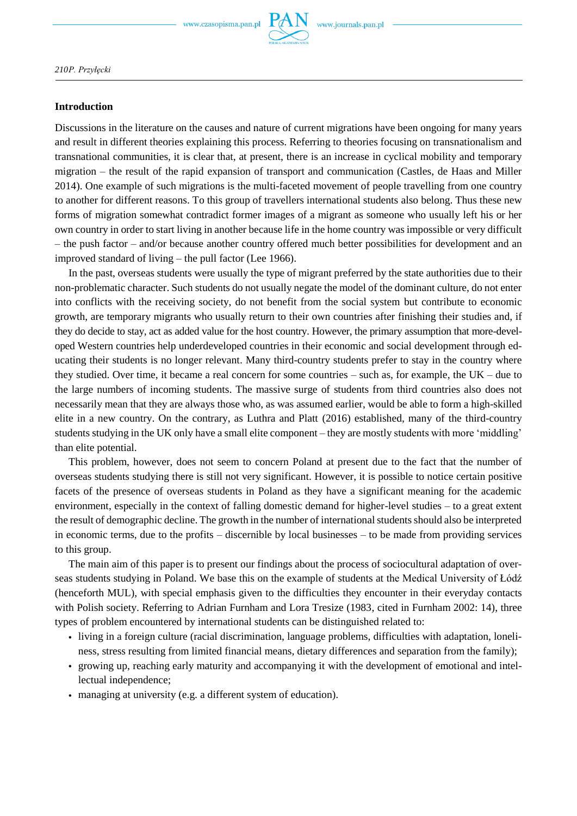

### **Introduction**

Discussions in the literature on the causes and nature of current migrations have been ongoing for many years and result in different theories explaining this process. Referring to theories focusing on transnationalism and transnational communities, it is clear that, at present, there is an increase in cyclical mobility and temporary migration – the result of the rapid expansion of transport and communication (Castles, de Haas and Miller 2014). One example of such migrations is the multi-faceted movement of people travelling from one country to another for different reasons. To this group of travellers international students also belong. Thus these new forms of migration somewhat contradict former images of a migrant as someone who usually left his or her own country in order to start living in another because life in the home country was impossible or very difficult – the push factor – and/or because another country offered much better possibilities for development and an improved standard of living – the pull factor (Lee 1966).

In the past, overseas students were usually the type of migrant preferred by the state authorities due to their non-problematic character. Such students do not usually negate the model of the dominant culture, do not enter into conflicts with the receiving society, do not benefit from the social system but contribute to economic growth, are temporary migrants who usually return to their own countries after finishing their studies and, if they do decide to stay, act as added value for the host country. However, the primary assumption that more-developed Western countries help underdeveloped countries in their economic and social development through educating their students is no longer relevant. Many third-country students prefer to stay in the country where they studied. Over time, it became a real concern for some countries – such as, for example, the UK – due to the large numbers of incoming students. The massive surge of students from third countries also does not necessarily mean that they are always those who, as was assumed earlier, would be able to form a high-skilled elite in a new country. On the contrary, as Luthra and Platt (2016) established, many of the third-country students studying in the UK only have a small elite component – they are mostly students with more 'middling' than elite potential.

This problem, however, does not seem to concern Poland at present due to the fact that the number of overseas students studying there is still not very significant. However, it is possible to notice certain positive facets of the presence of overseas students in Poland as they have a significant meaning for the academic environment, especially in the context of falling domestic demand for higher-level studies – to a great extent the result of demographic decline. The growth in the number of international students should also be interpreted in economic terms, due to the profits – discernible by local businesses – to be made from providing services to this group.

The main aim of this paper is to present our findings about the process of sociocultural adaptation of overseas students studying in Poland. We base this on the example of students at the Medical University of Łódź (henceforth MUL), with special emphasis given to the difficulties they encounter in their everyday contacts with Polish society. Referring to Adrian Furnham and Lora Tresize (1983, cited in Furnham 2002: 14), three types of problem encountered by international students can be distinguished related to:

- living in a foreign culture (racial discrimination, language problems, difficulties with adaptation, loneliness, stress resulting from limited financial means, dietary differences and separation from the family);
- growing up, reaching early maturity and accompanying it with the development of emotional and intellectual independence;
- managing at university (e.g. a different system of education).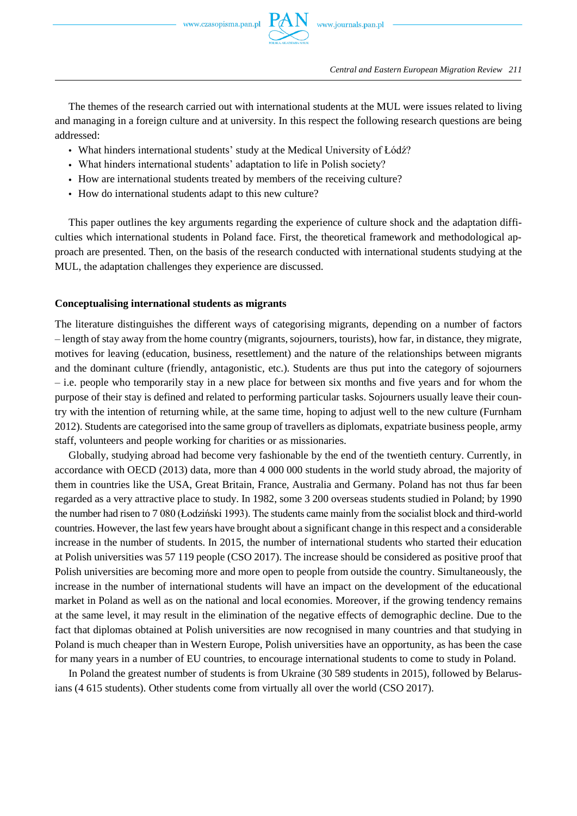

The themes of the research carried out with international students at the MUL were issues related to living and managing in a foreign culture and at university. In this respect the following research questions are being addressed:

- What hinders international students' study at the Medical University of Łódź?
- What hinders international students' adaptation to life in Polish society?
- How are international students treated by members of the receiving culture?
- How do international students adapt to this new culture?

This paper outlines the key arguments regarding the experience of culture shock and the adaptation difficulties which international students in Poland face. First, the theoretical framework and methodological approach are presented. Then, on the basis of the research conducted with international students studying at the MUL, the adaptation challenges they experience are discussed.

#### **Conceptualising international students as migrants**

The literature distinguishes the different ways of categorising migrants, depending on a number of factors – length of stay away from the home country (migrants, sojourners, tourists), how far, in distance, they migrate, motives for leaving (education, business, resettlement) and the nature of the relationships between migrants and the dominant culture (friendly, antagonistic, etc.). Students are thus put into the category of sojourners – i.e. people who temporarily stay in a new place for between six months and five years and for whom the purpose of their stay is defined and related to performing particular tasks. Sojourners usually leave their country with the intention of returning while, at the same time, hoping to adjust well to the new culture (Furnham 2012). Students are categorised into the same group of travellers as diplomats, expatriate business people, army staff, volunteers and people working for charities or as missionaries.

Globally, studying abroad had become very fashionable by the end of the twentieth century. Currently, in accordance with OECD (2013) data, more than 4 000 000 students in the world study abroad, the majority of them in countries like the USA, Great Britain, France, Australia and Germany. Poland has not thus far been regarded as a very attractive place to study. In 1982, some 3 200 overseas students studied in Poland; by 1990 the number had risen to 7 080 (Łodziński 1993). The students came mainly from the socialist block and third-world countries. However, the last few years have brought about a significant change in this respect and a considerable increase in the number of students. In 2015, the number of international students who started their education at Polish universities was 57 119 people (CSO 2017). The increase should be considered as positive proof that Polish universities are becoming more and more open to people from outside the country. Simultaneously, the increase in the number of international students will have an impact on the development of the educational market in Poland as well as on the national and local economies. Moreover, if the growing tendency remains at the same level, it may result in the elimination of the negative effects of demographic decline. Due to the fact that diplomas obtained at Polish universities are now recognised in many countries and that studying in Poland is much cheaper than in Western Europe, Polish universities have an opportunity, as has been the case for many years in a number of EU countries, to encourage international students to come to study in Poland.

In Poland the greatest number of students is from Ukraine (30 589 students in 2015), followed by Belarusians (4 615 students). Other students come from virtually all over the world (CSO 2017).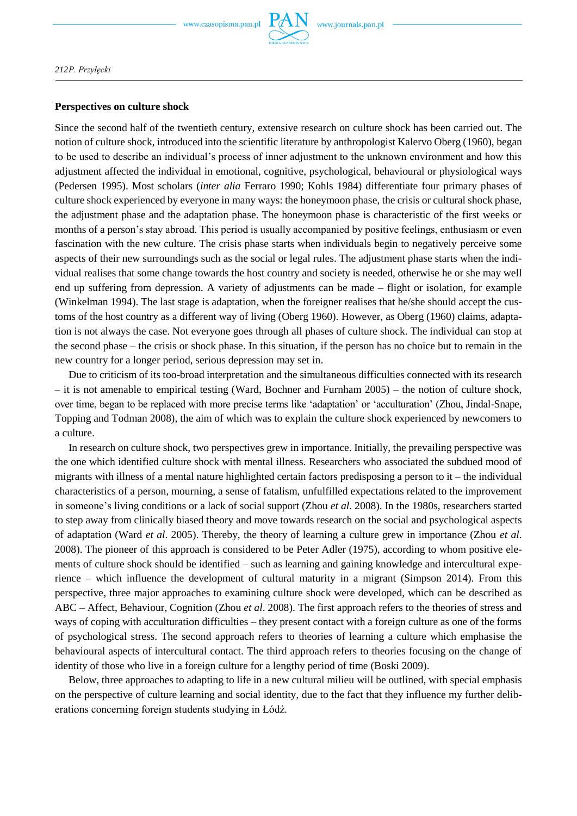

## **Perspectives on culture shock**

Since the second half of the twentieth century, extensive research on culture shock has been carried out. The notion of culture shock, introduced into the scientific literature by anthropologist Kalervo Oberg (1960), began to be used to describe an individual's process of inner adjustment to the unknown environment and how this adjustment affected the individual in emotional, cognitive, psychological, behavioural or physiological ways (Pedersen 1995). Most scholars (*inter alia* Ferraro 1990; Kohls 1984) differentiate four primary phases of culture shock experienced by everyone in many ways: the honeymoon phase, the crisis or cultural shock phase, the adjustment phase and the adaptation phase. The honeymoon phase is characteristic of the first weeks or months of a person's stay abroad. This period is usually accompanied by positive feelings, enthusiasm or even fascination with the new culture. The crisis phase starts when individuals begin to negatively perceive some aspects of their new surroundings such as the social or legal rules. The adjustment phase starts when the individual realises that some change towards the host country and society is needed, otherwise he or she may well end up suffering from depression. A variety of adjustments can be made – flight or isolation, for example (Winkelman 1994). The last stage is adaptation, when the foreigner realises that he/she should accept the customs of the host country as a different way of living (Oberg 1960). However, as Oberg (1960) claims, adaptation is not always the case. Not everyone goes through all phases of culture shock. The individual can stop at the second phase – the crisis or shock phase. In this situation, if the person has no choice but to remain in the new country for a longer period, serious depression may set in.

Due to criticism of its too-broad interpretation and the simultaneous difficulties connected with its research – it is not amenable to empirical testing (Ward, Bochner and Furnham 2005) – the notion of culture shock, over time, began to be replaced with more precise terms like 'adaptation' or 'acculturation' (Zhou, Jindal-Snape, Topping and Todman 2008), the aim of which was to explain the culture shock experienced by newcomers to a culture.

In research on culture shock, two perspectives grew in importance. Initially, the prevailing perspective was the one which identified culture shock with mental illness. Researchers who associated the subdued mood of migrants with illness of a mental nature highlighted certain factors predisposing a person to it – the individual characteristics of a person, mourning, a sense of fatalism, unfulfilled expectations related to the improvement in someone's living conditions or a lack of social support (Zhou *et al*. 2008). In the 1980s, researchers started to step away from clinically biased theory and move towards research on the social and psychological aspects of adaptation (Ward *et al*. 2005). Thereby, the theory of learning a culture grew in importance (Zhou *et al*. 2008). The pioneer of this approach is considered to be Peter Adler (1975), according to whom positive elements of culture shock should be identified – such as learning and gaining knowledge and intercultural experience – which influence the development of cultural maturity in a migrant (Simpson 2014). From this perspective, three major approaches to examining culture shock were developed, which can be described as ABC – Affect, Behaviour, Cognition (Zhou *et al*. 2008). The first approach refers to the theories of stress and ways of coping with acculturation difficulties – they present contact with a foreign culture as one of the forms of psychological stress. The second approach refers to theories of learning a culture which emphasise the behavioural aspects of intercultural contact. The third approach refers to theories focusing on the change of identity of those who live in a foreign culture for a lengthy period of time (Boski 2009).

Below, three approaches to adapting to life in a new cultural milieu will be outlined, with special emphasis on the perspective of culture learning and social identity, due to the fact that they influence my further deliberations concerning foreign students studying in Łódź.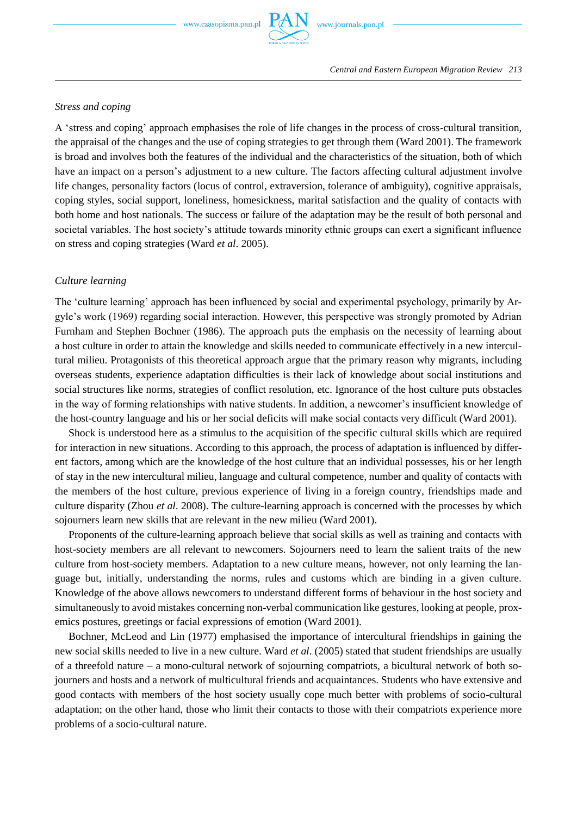## *Stress and coping*

A 'stress and coping' approach emphasises the role of life changes in the process of cross-cultural transition, the appraisal of the changes and the use of coping strategies to get through them (Ward 2001). The framework is broad and involves both the features of the individual and the characteristics of the situation, both of which have an impact on a person's adjustment to a new culture. The factors affecting cultural adjustment involve life changes, personality factors (locus of control, extraversion, tolerance of ambiguity), cognitive appraisals, coping styles, social support, loneliness, homesickness, marital satisfaction and the quality of contacts with both home and host nationals. The success or failure of the adaptation may be the result of both personal and societal variables. The host society's attitude towards minority ethnic groups can exert a significant influence on stress and coping strategies (Ward *et al*. 2005).

## *Culture learning*

The 'culture learning' approach has been influenced by social and experimental psychology, primarily by Argyle's work (1969) regarding social interaction. However, this perspective was strongly promoted by Adrian Furnham and Stephen Bochner (1986). The approach puts the emphasis on the necessity of learning about a host culture in order to attain the knowledge and skills needed to communicate effectively in a new intercultural milieu. Protagonists of this theoretical approach argue that the primary reason why migrants, including overseas students, experience adaptation difficulties is their lack of knowledge about social institutions and social structures like norms, strategies of conflict resolution, etc. Ignorance of the host culture puts obstacles in the way of forming relationships with native students. In addition, a newcomer's insufficient knowledge of the host-country language and his or her social deficits will make social contacts very difficult (Ward 2001).

Shock is understood here as a stimulus to the acquisition of the specific cultural skills which are required for interaction in new situations. According to this approach, the process of adaptation is influenced by different factors, among which are the knowledge of the host culture that an individual possesses, his or her length of stay in the new intercultural milieu, language and cultural competence, number and quality of contacts with the members of the host culture, previous experience of living in a foreign country, friendships made and culture disparity (Zhou *et al*. 2008). The culture-learning approach is concerned with the processes by which sojourners learn new skills that are relevant in the new milieu (Ward 2001).

Proponents of the culture-learning approach believe that social skills as well as training and contacts with host-society members are all relevant to newcomers. Sojourners need to learn the salient traits of the new culture from host-society members. Adaptation to a new culture means, however, not only learning the language but, initially, understanding the norms, rules and customs which are binding in a given culture. Knowledge of the above allows newcomers to understand different forms of behaviour in the host society and simultaneously to avoid mistakes concerning non-verbal communication like gestures, looking at people, proxemics postures, greetings or facial expressions of emotion (Ward 2001).

Bochner, McLeod and Lin (1977) emphasised the importance of intercultural friendships in gaining the new social skills needed to live in a new culture. Ward *et al*. (2005) stated that student friendships are usually of a threefold nature – a mono-cultural network of sojourning compatriots, a bicultural network of both sojourners and hosts and a network of multicultural friends and acquaintances. Students who have extensive and good contacts with members of the host society usually cope much better with problems of socio-cultural adaptation; on the other hand, those who limit their contacts to those with their compatriots experience more problems of a socio-cultural nature.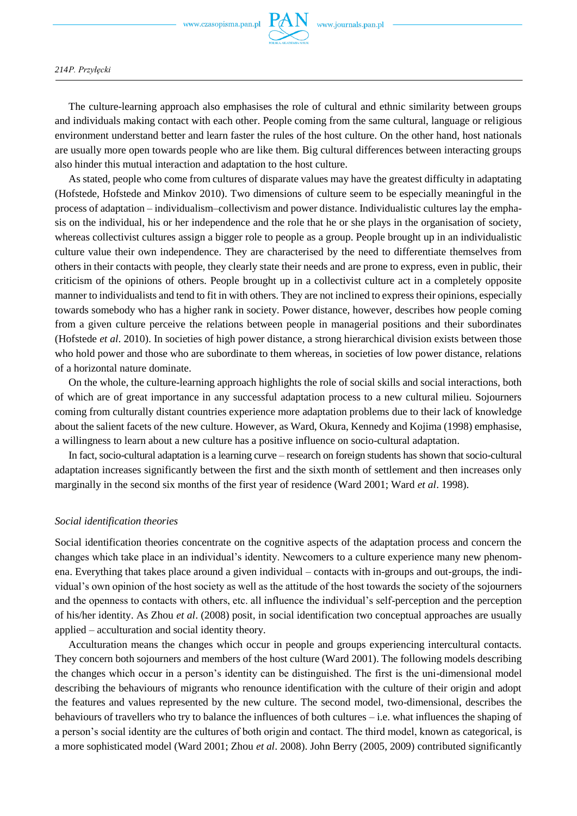

#### *214P. Przyłęcki*

The culture-learning approach also emphasises the role of cultural and ethnic similarity between groups and individuals making contact with each other. People coming from the same cultural, language or religious environment understand better and learn faster the rules of the host culture. On the other hand, host nationals are usually more open towards people who are like them. Big cultural differences between interacting groups also hinder this mutual interaction and adaptation to the host culture.

As stated, people who come from cultures of disparate values may have the greatest difficulty in adaptating (Hofstede, Hofstede and Minkov 2010). Two dimensions of culture seem to be especially meaningful in the process of adaptation – individualism–collectivism and power distance. Individualistic cultures lay the emphasis on the individual, his or her independence and the role that he or she plays in the organisation of society, whereas collectivist cultures assign a bigger role to people as a group. People brought up in an individualistic culture value their own independence. They are characterised by the need to differentiate themselves from others in their contacts with people, they clearly state their needs and are prone to express, even in public, their criticism of the opinions of others. People brought up in a collectivist culture act in a completely opposite manner to individualists and tend to fit in with others. They are not inclined to express their opinions, especially towards somebody who has a higher rank in society. Power distance, however, describes how people coming from a given culture perceive the relations between people in managerial positions and their subordinates (Hofstede *et al*. 2010). In societies of high power distance, a strong hierarchical division exists between those who hold power and those who are subordinate to them whereas, in societies of low power distance, relations of a horizontal nature dominate.

On the whole, the culture-learning approach highlights the role of social skills and social interactions, both of which are of great importance in any successful adaptation process to a new cultural milieu. Sojourners coming from culturally distant countries experience more adaptation problems due to their lack of knowledge about the salient facets of the new culture. However, as Ward, Okura, Kennedy and Kojima (1998) emphasise, a willingness to learn about a new culture has a positive influence on socio-cultural adaptation.

In fact, socio-cultural adaptation is a learning curve – research on foreign students has shown that socio-cultural adaptation increases significantly between the first and the sixth month of settlement and then increases only marginally in the second six months of the first year of residence (Ward 2001; Ward *et al*. 1998).

#### *Social identification theories*

Social identification theories concentrate on the cognitive aspects of the adaptation process and concern the changes which take place in an individual's identity. Newcomers to a culture experience many new phenomena. Everything that takes place around a given individual – contacts with in-groups and out-groups, the individual's own opinion of the host society as well as the attitude of the host towards the society of the sojourners and the openness to contacts with others, etc. all influence the individual's self-perception and the perception of his/her identity. As Zhou *et al*. (2008) posit, in social identification two conceptual approaches are usually applied – acculturation and social identity theory.

Acculturation means the changes which occur in people and groups experiencing intercultural contacts. They concern both sojourners and members of the host culture (Ward 2001). The following models describing the changes which occur in a person's identity can be distinguished. The first is the uni-dimensional model describing the behaviours of migrants who renounce identification with the culture of their origin and adopt the features and values represented by the new culture. The second model, two-dimensional, describes the behaviours of travellers who try to balance the influences of both cultures – i.e. what influences the shaping of a person's social identity are the cultures of both origin and contact. The third model, known as categorical, is a more sophisticated model (Ward 2001; Zhou *et al*. 2008). John Berry (2005, 2009) contributed significantly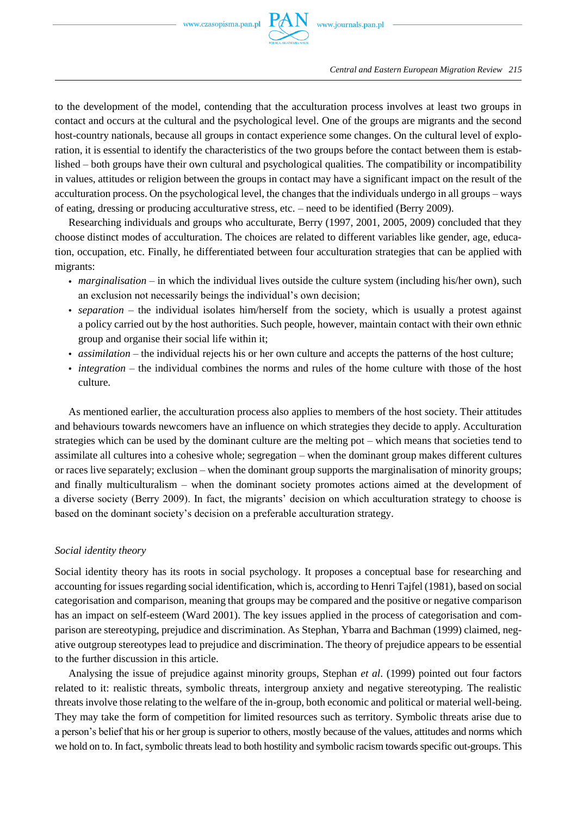

to the development of the model, contending that the acculturation process involves at least two groups in contact and occurs at the cultural and the psychological level. One of the groups are migrants and the second host-country nationals, because all groups in contact experience some changes. On the cultural level of exploration, it is essential to identify the characteristics of the two groups before the contact between them is established – both groups have their own cultural and psychological qualities. The compatibility or incompatibility in values, attitudes or religion between the groups in contact may have a significant impact on the result of the acculturation process. On the psychological level, the changes that the individuals undergo in all groups – ways of eating, dressing or producing acculturative stress, etc. – need to be identified (Berry 2009).

Researching individuals and groups who acculturate, Berry (1997, 2001, 2005, 2009) concluded that they choose distinct modes of acculturation. The choices are related to different variables like gender, age, education, occupation, etc. Finally, he differentiated between four acculturation strategies that can be applied with migrants:

- *marginalisation* in which the individual lives outside the culture system (including his/her own), such an exclusion not necessarily beings the individual's own decision;
- *separation* the individual isolates him/herself from the society, which is usually a protest against a policy carried out by the host authorities. Such people, however, maintain contact with their own ethnic group and organise their social life within it;
- *assimilation* the individual rejects his or her own culture and accepts the patterns of the host culture;
- *integration* the individual combines the norms and rules of the home culture with those of the host culture.

As mentioned earlier, the acculturation process also applies to members of the host society. Their attitudes and behaviours towards newcomers have an influence on which strategies they decide to apply. Acculturation strategies which can be used by the dominant culture are the melting pot – which means that societies tend to assimilate all cultures into a cohesive whole; segregation – when the dominant group makes different cultures or races live separately; exclusion – when the dominant group supports the marginalisation of minority groups; and finally multiculturalism – when the dominant society promotes actions aimed at the development of a diverse society (Berry 2009). In fact, the migrants' decision on which acculturation strategy to choose is based on the dominant society's decision on a preferable acculturation strategy.

## *Social identity theory*

Social identity theory has its roots in social psychology. It proposes a conceptual base for researching and accounting for issues regarding social identification, which is, according to Henri Tajfel (1981), based on social categorisation and comparison, meaning that groups may be compared and the positive or negative comparison has an impact on self-esteem (Ward 2001). The key issues applied in the process of categorisation and comparison are stereotyping, prejudice and discrimination. As Stephan, Ybarra and Bachman (1999) claimed, negative outgroup stereotypes lead to prejudice and discrimination. The theory of prejudice appears to be essential to the further discussion in this article.

Analysing the issue of prejudice against minority groups, Stephan *et al*. (1999) pointed out four factors related to it: realistic threats, symbolic threats, intergroup anxiety and negative stereotyping. The realistic threats involve those relating to the welfare of the in-group, both economic and political or material well-being. They may take the form of competition for limited resources such as territory. Symbolic threats arise due to a person's belief that his or her group is superior to others, mostly because of the values, attitudes and norms which we hold on to. In fact, symbolic threats lead to both hostility and symbolic racism towards specific out-groups. This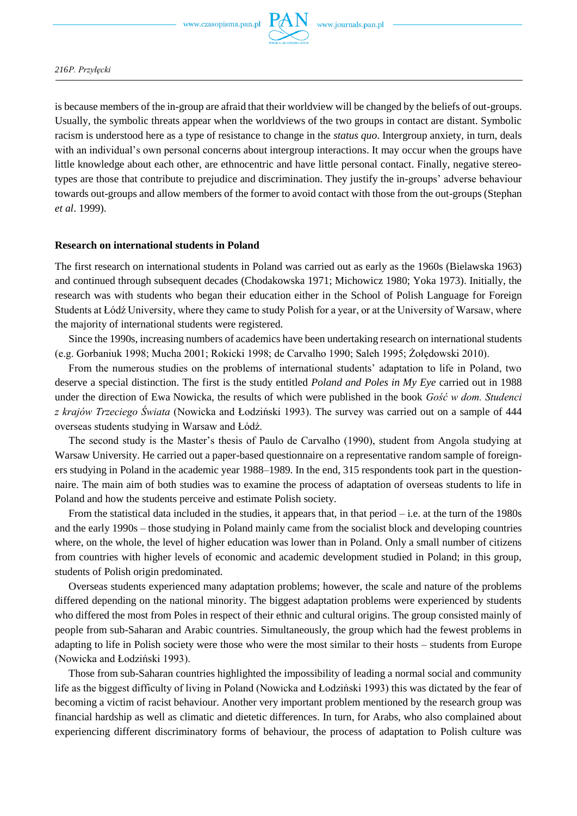

is because members of the in-group are afraid that their worldview will be changed by the beliefs of out-groups. Usually, the symbolic threats appear when the worldviews of the two groups in contact are distant. Symbolic racism is understood here as a type of resistance to change in the *status quo*. Intergroup anxiety, in turn, deals with an individual's own personal concerns about intergroup interactions. It may occur when the groups have little knowledge about each other, are ethnocentric and have little personal contact. Finally, negative stereotypes are those that contribute to prejudice and discrimination. They justify the in-groups' adverse behaviour towards out-groups and allow members of the former to avoid contact with those from the out-groups (Stephan *et al*. 1999).

## **Research on international students in Poland**

The first research on international students in Poland was carried out as early as the 1960s (Bielawska 1963) and continued through subsequent decades (Chodakowska 1971; Michowicz 1980; Yoka 1973). Initially, the research was with students who began their education either in the School of Polish Language for Foreign Students at Łódź University, where they came to study Polish for a year, or at the University of Warsaw, where the majority of international students were registered.

Since the 1990s, increasing numbers of academics have been undertaking research on international students (e.g. Gorbaniuk 1998; Mucha 2001; Rokicki 1998; de Carvalho 1990; Saleh 1995; Żołędowski 2010).

From the numerous studies on the problems of international students' adaptation to life in Poland, two deserve a special distinction. The first is the study entitled *Poland and Poles in My Eye* carried out in 1988 under the direction of Ewa Nowicka, the results of which were published in the book *Gość w dom. Studenci z krajów Trzeciego Świata* (Nowicka and Łodziński 1993). The survey was carried out on a sample of 444 overseas students studying in Warsaw and Łódź.

The second study is the Master's thesis of Paulo de Carvalho (1990), student from Angola studying at Warsaw University. He carried out a paper-based questionnaire on a representative random sample of foreigners studying in Poland in the academic year 1988–1989. In the end, 315 respondents took part in the questionnaire. The main aim of both studies was to examine the process of adaptation of overseas students to life in Poland and how the students perceive and estimate Polish society.

From the statistical data included in the studies, it appears that, in that period – i.e. at the turn of the 1980s and the early 1990s – those studying in Poland mainly came from the socialist block and developing countries where, on the whole, the level of higher education was lower than in Poland. Only a small number of citizens from countries with higher levels of economic and academic development studied in Poland; in this group, students of Polish origin predominated.

Overseas students experienced many adaptation problems; however, the scale and nature of the problems differed depending on the national minority. The biggest adaptation problems were experienced by students who differed the most from Poles in respect of their ethnic and cultural origins. The group consisted mainly of people from sub-Saharan and Arabic countries. Simultaneously, the group which had the fewest problems in adapting to life in Polish society were those who were the most similar to their hosts – students from Europe (Nowicka and Łodziński 1993).

Those from sub-Saharan countries highlighted the impossibility of leading a normal social and community life as the biggest difficulty of living in Poland (Nowicka and Łodziński 1993) this was dictated by the fear of becoming a victim of racist behaviour. Another very important problem mentioned by the research group was financial hardship as well as climatic and dietetic differences. In turn, for Arabs, who also complained about experiencing different discriminatory forms of behaviour, the process of adaptation to Polish culture was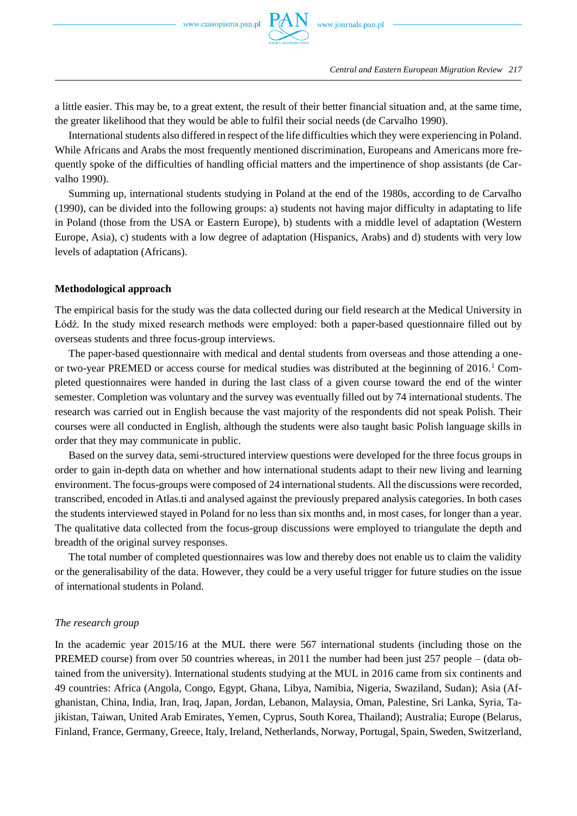a little easier. This may be, to a great extent, the result of their better financial situation and, at the same time, the greater likelihood that they would be able to fulfil their social needs (de Carvalho 1990).

International students also differed in respect of the life difficulties which they were experiencing in Poland. While Africans and Arabs the most frequently mentioned discrimination, Europeans and Americans more frequently spoke of the difficulties of handling official matters and the impertinence of shop assistants (de Carvalho 1990).

Summing up, international students studying in Poland at the end of the 1980s, according to de Carvalho (1990), can be divided into the following groups: a) students not having major difficulty in adaptating to life in Poland (those from the USA or Eastern Europe), b) students with a middle level of adaptation (Western Europe, Asia), c) students with a low degree of adaptation (Hispanics, Arabs) and d) students with very low levels of adaptation (Africans).

#### **Methodological approach**

The empirical basis for the study was the data collected during our field research at the Medical University in Łódź. In the study mixed research methods were employed: both a paper-based questionnaire filled out by overseas students and three focus-group interviews.

The paper-based questionnaire with medical and dental students from overseas and those attending a oneor two-year PREMED or access course for medical studies was distributed at the beginning of 2016.<sup>1</sup> Completed questionnaires were handed in during the last class of a given course toward the end of the winter semester. Completion was voluntary and the survey was eventually filled out by 74 international students. The research was carried out in English because the vast majority of the respondents did not speak Polish. Their courses were all conducted in English, although the students were also taught basic Polish language skills in order that they may communicate in public.

Based on the survey data, semi-structured interview questions were developed for the three focus groups in order to gain in-depth data on whether and how international students adapt to their new living and learning environment. The focus-groups were composed of 24 international students. All the discussions were recorded, transcribed, encoded in Atlas.ti and analysed against the previously prepared analysis categories. In both cases the students interviewed stayed in Poland for no less than six months and, in most cases, for longer than a year. The qualitative data collected from the focus-group discussions were employed to triangulate the depth and breadth of the original survey responses.

The total number of completed questionnaires was low and thereby does not enable us to claim the validity or the generalisability of the data. However, they could be a very useful trigger for future studies on the issue of international students in Poland.

## *The research group*

In the academic year 2015/16 at the MUL there were 567 international students (including those on the PREMED course) from over 50 countries whereas, in 2011 the number had been just 257 people – (data obtained from the university). International students studying at the MUL in 2016 came from six continents and 49 countries: Africa (Angola, Congo, Egypt, Ghana, Libya, Namibia, Nigeria, Swaziland, Sudan); Asia (Afghanistan, China, India, Iran, Iraq, Japan, Jordan, Lebanon, Malaysia, Oman, Palestine, Sri Lanka, Syria, Tajikistan, Taiwan, United Arab Emirates, Yemen, Cyprus, South Korea, Thailand); Australia; Europe (Belarus, Finland, France, Germany, Greece, Italy, Ireland, Netherlands, Norway, Portugal, Spain, Sweden, Switzerland,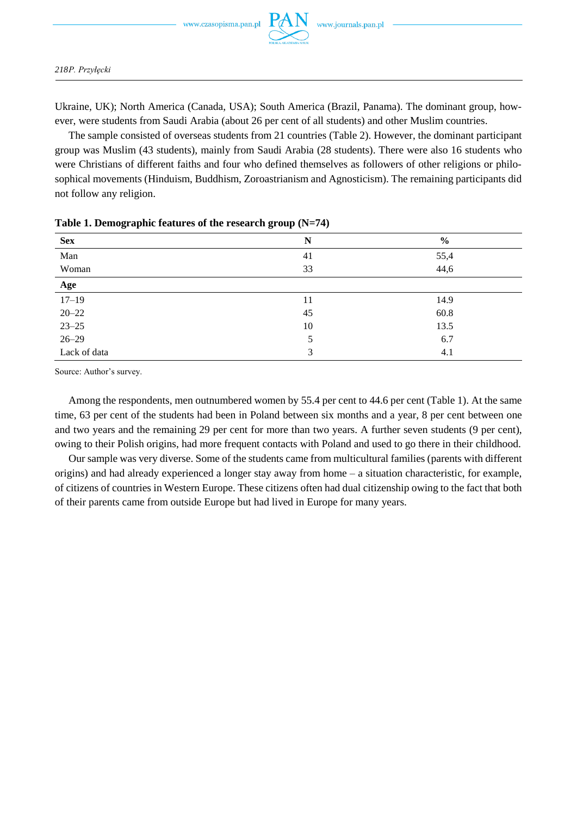

Ukraine, UK); North America (Canada, USA); South America (Brazil, Panama). The dominant group, however, were students from Saudi Arabia (about 26 per cent of all students) and other Muslim countries.

The sample consisted of overseas students from 21 countries (Table 2). However, the dominant participant group was Muslim (43 students), mainly from Saudi Arabia (28 students). There were also 16 students who were Christians of different faiths and four who defined themselves as followers of other religions or philosophical movements (Hinduism, Buddhism, Zoroastrianism and Agnosticism). The remaining participants did not follow any religion.

| $\frac{6}{6}$      |
|--------------------|
| 55,4               |
| 44,6               |
|                    |
| 14.9               |
| 60.8               |
| 10<br>13.5         |
| 6.7                |
| 4.1                |
| 33<br>45<br>5<br>3 |

#### **Table 1. Demographic features of the research group (N=74)**

Source: Author's survey.

Among the respondents, men outnumbered women by 55.4 per cent to 44.6 per cent (Table 1). At the same time, 63 per cent of the students had been in Poland between six months and a year, 8 per cent between one and two years and the remaining 29 per cent for more than two years. A further seven students (9 per cent), owing to their Polish origins, had more frequent contacts with Poland and used to go there in their childhood.

Our sample was very diverse. Some of the students came from multicultural families (parents with different origins) and had already experienced a longer stay away from home – a situation characteristic, for example, of citizens of countries in Western Europe. These citizens often had dual citizenship owing to the fact that both of their parents came from outside Europe but had lived in Europe for many years.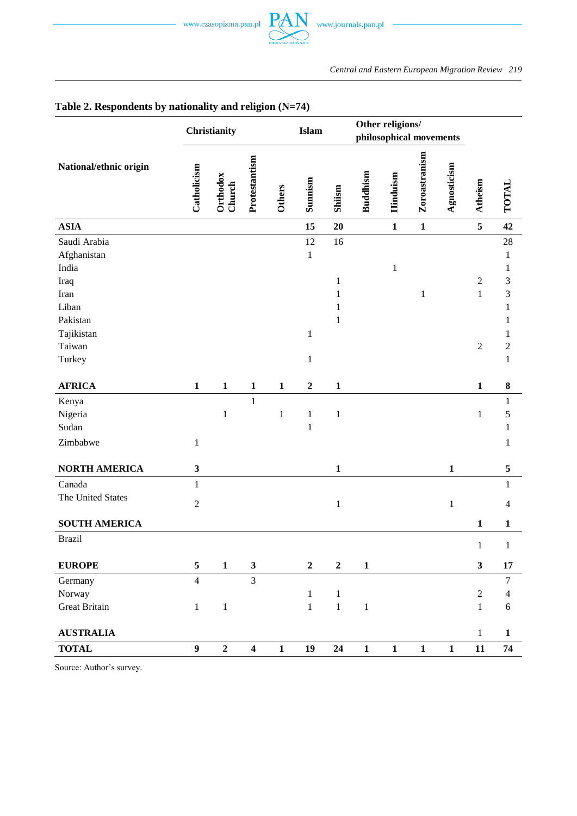



## **Table 2. Respondents by nationality and religion (N=74)**

|                        | Christianity     |                    |                         |               | Islam          | Other religions/<br>philosophical movements |                 |              |               |              |                |                  |
|------------------------|------------------|--------------------|-------------------------|---------------|----------------|---------------------------------------------|-----------------|--------------|---------------|--------------|----------------|------------------|
| National/ethnic origin | Catholicism      | Orthodox<br>Church | Protestantism           | <b>Others</b> | Sunnism        | Shiism                                      | <b>Buddhism</b> | Hinduism     | Zoroastranism | Agnosticism  | Atheism        | TOTAL            |
| <b>ASIA</b>            |                  |                    |                         |               | 15             | 20                                          |                 | $\mathbf{1}$ | $\mathbf{1}$  |              | 5              | 42               |
| Saudi Arabia           |                  |                    |                         |               | 12             | 16                                          |                 |              |               |              |                | 28               |
| Afghanistan            |                  |                    |                         |               | $\mathbf{1}$   |                                             |                 |              |               |              |                | $\mathbf{1}$     |
| India                  |                  |                    |                         |               |                |                                             |                 | $\mathbf{1}$ |               |              |                | $\mathbf{1}$     |
| Iraq                   |                  |                    |                         |               |                | $\mathbf{1}$                                |                 |              |               |              | $\overline{c}$ | 3                |
| Iran                   |                  |                    |                         |               |                | $\mathbf{1}$                                |                 |              | $\mathbf{1}$  |              | $\mathbf{1}$   | 3                |
| Liban                  |                  |                    |                         |               |                | $\mathbf{1}$                                |                 |              |               |              |                | 1                |
| Pakistan               |                  |                    |                         |               |                | 1                                           |                 |              |               |              |                | 1                |
| Tajikistan             |                  |                    |                         |               | $\,1\,$        |                                             |                 |              |               |              |                | $\mathbf{1}$     |
| Taiwan                 |                  |                    |                         |               |                |                                             |                 |              |               |              | $\mathbf{2}$   | $\overline{c}$   |
| Turkey                 |                  |                    |                         |               | $\mathbf 1$    |                                             |                 |              |               |              |                | $\,1$            |
| <b>AFRICA</b>          | $\mathbf{1}$     | $\mathbf{1}$       | $\mathbf{1}$            | $\mathbf{1}$  | $\mathbf 2$    | $\mathbf 1$                                 |                 |              |               |              | $\mathbf{1}$   | $\bf 8$          |
| Kenya                  |                  |                    | $\mathbf 1$             |               |                |                                             |                 |              |               |              |                | $\mathbf{1}$     |
| Nigeria                |                  | $\,1\,$            |                         | $\,1\,$       | $\mathbf{1}$   | $\mathbf{1}$                                |                 |              |               |              | $\,1$          | 5                |
| Sudan                  |                  |                    |                         |               | $\mathbf{1}$   |                                             |                 |              |               |              |                | $\mathbf{1}$     |
| Zimbabwe               | $\mathbf{1}$     |                    |                         |               |                |                                             |                 |              |               |              |                | 1                |
| <b>NORTH AMERICA</b>   | $\mathbf{3}$     |                    |                         |               |                | $\mathbf 1$                                 |                 |              |               | $\mathbf 1$  |                | 5                |
| Canada                 | $\mathbf{1}$     |                    |                         |               |                |                                             |                 |              |               |              |                | $\mathbf{1}$     |
| The United States      | $\sqrt{2}$       |                    |                         |               |                | $\,1\,$                                     |                 |              |               | $\mathbf 1$  |                | 4                |
| <b>SOUTH AMERICA</b>   |                  |                    |                         |               |                |                                             |                 |              |               |              | $\mathbf{1}$   | $\mathbf{1}$     |
| <b>Brazil</b>          |                  |                    |                         |               |                |                                             |                 |              |               |              | $\,1$          | $\mathbf{1}$     |
| <b>EUROPE</b>          | 5                | $\mathbf{1}$       | $\mathbf{3}$            |               | $\overline{2}$ | $\boldsymbol{2}$                            | $\mathbf{1}$    |              |               |              | $\mathbf{3}$   | 17               |
| Germany                | $\overline{4}$   |                    | $\overline{3}$          |               |                |                                             |                 |              |               |              |                | $\boldsymbol{7}$ |
| Norway                 |                  |                    |                         |               | $\mathbf{1}$   | $\mathbf{1}$                                |                 |              |               |              | $\sqrt{2}$     | $\overline{4}$   |
| <b>Great Britain</b>   | $1\,$            | $\,1\,$            |                         |               | $\mathbf{1}$   | $\,1\,$                                     | $\,1\,$         |              |               |              | $\,1$          | $\sqrt{6}$       |
| <b>AUSTRALIA</b>       |                  |                    |                         |               |                |                                             |                 |              |               |              | $\mathbf{1}$   | $\mathbf{1}$     |
| <b>TOTAL</b>           | $\boldsymbol{9}$ | $\overline{2}$     | $\overline{\mathbf{4}}$ | $\mathbf{1}$  | 19             | 24                                          | $\mathbf{1}$    | $\mathbf{1}$ | $\mathbf{1}$  | $\mathbf{1}$ | 11             | 74               |
|                        |                  |                    |                         |               |                |                                             |                 |              |               |              |                |                  |

Source: Author's survey.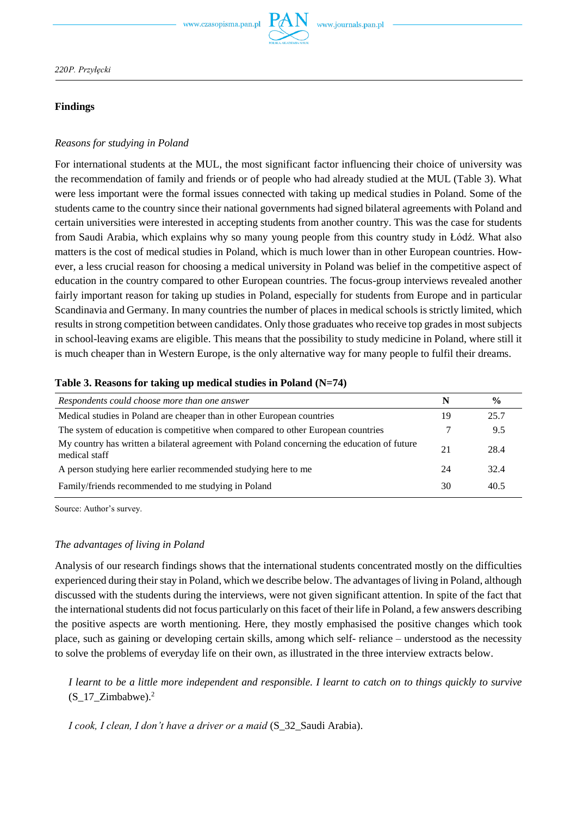www.journals.pan.pl

*220P. Przyłęcki*

## **Findings**

## *Reasons for studying in Poland*

For international students at the MUL, the most significant factor influencing their choice of university was the recommendation of family and friends or of people who had already studied at the MUL (Table 3). What were less important were the formal issues connected with taking up medical studies in Poland. Some of the students came to the country since their national governments had signed bilateral agreements with Poland and certain universities were interested in accepting students from another country. This was the case for students from Saudi Arabia, which explains why so many young people from this country study in Łódź. What also matters is the cost of medical studies in Poland, which is much lower than in other European countries. However, a less crucial reason for choosing a medical university in Poland was belief in the competitive aspect of education in the country compared to other European countries. The focus-group interviews revealed another fairly important reason for taking up studies in Poland, especially for students from Europe and in particular Scandinavia and Germany. In many countries the number of places in medical schools is strictly limited, which results in strong competition between candidates. Only those graduates who receive top grades in most subjects in school-leaving exams are eligible. This means that the possibility to study medicine in Poland, where still it is much cheaper than in Western Europe, is the only alternative way for many people to fulfil their dreams.

## **Table 3. Reasons for taking up medical studies in Poland (N=74)**

| Respondents could choose more than one answer                                                                | N  | $\frac{0}{0}$ |
|--------------------------------------------------------------------------------------------------------------|----|---------------|
| Medical studies in Poland are cheaper than in other European countries                                       | 19 | 25.7          |
| The system of education is competitive when compared to other European countries                             |    | 9.5           |
| My country has written a bilateral agreement with Poland concerning the education of future<br>medical staff | 21 | 28.4          |
| A person studying here earlier recommended studying here to me                                               | 24 | 32.4          |
| Family/friends recommended to me studying in Poland                                                          | 30 | 40.5          |

Source: Author's survey.

## *The advantages of living in Poland*

Analysis of our research findings shows that the international students concentrated mostly on the difficulties experienced during their stay in Poland, which we describe below. The advantages of living in Poland, although discussed with the students during the interviews, were not given significant attention. In spite of the fact that the international students did not focus particularly on this facet of their life in Poland, a few answers describing the positive aspects are worth mentioning. Here, they mostly emphasised the positive changes which took place, such as gaining or developing certain skills, among which self- reliance – understood as the necessity to solve the problems of everyday life on their own, as illustrated in the three interview extracts below.

*I learnt to be a little more independent and responsible. I learnt to catch on to things quickly to survive*   $(S_17_Zimbabwe).<sup>2</sup>$ 

*I cook, I clean, I don't have a driver or a maid* (S\_32\_Saudi Arabia).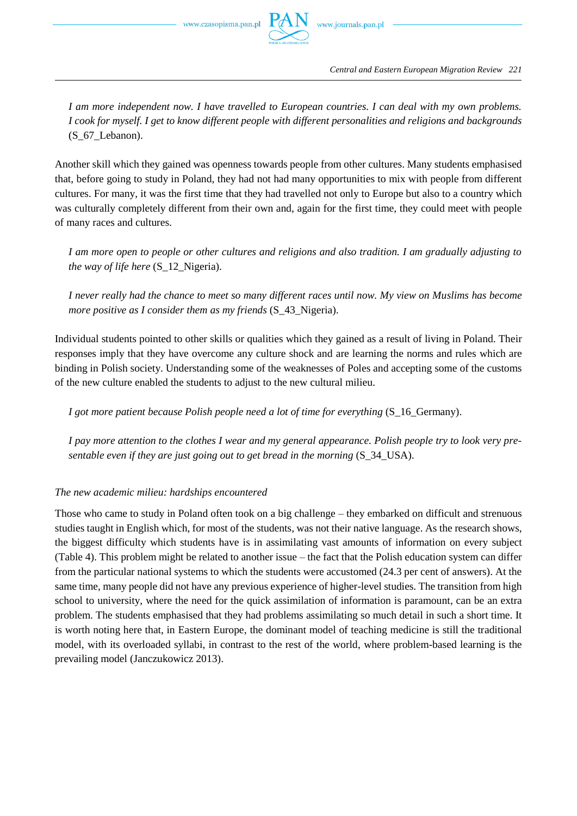

*Central and Eastern European Migration Review 221*

*I am more independent now. I have travelled to European countries. I can deal with my own problems. I cook for myself. I get to know different people with different personalities and religions and backgrounds* (S\_67\_Lebanon).

Another skill which they gained was openness towards people from other cultures. Many students emphasised that, before going to study in Poland, they had not had many opportunities to mix with people from different cultures. For many, it was the first time that they had travelled not only to Europe but also to a country which was culturally completely different from their own and, again for the first time, they could meet with people of many races and cultures.

*I am more open to people or other cultures and religions and also tradition. I am gradually adjusting to the way of life here* (S 12 Nigeria).

*I never really had the chance to meet so many different races until now. My view on Muslims has become more positive as I consider them as my friends* (S\_43\_Nigeria).

Individual students pointed to other skills or qualities which they gained as a result of living in Poland. Their responses imply that they have overcome any culture shock and are learning the norms and rules which are binding in Polish society. Understanding some of the weaknesses of Poles and accepting some of the customs of the new culture enabled the students to adjust to the new cultural milieu.

*I got more patient because Polish people need a lot of time for everything (S 16 Germany).* 

*I pay more attention to the clothes I wear and my general appearance. Polish people try to look very presentable even if they are just going out to get bread in the morning* (S\_34\_USA).

## *The new academic milieu: hardships encountered*

Those who came to study in Poland often took on a big challenge – they embarked on difficult and strenuous studies taught in English which, for most of the students, was not their native language. As the research shows, the biggest difficulty which students have is in assimilating vast amounts of information on every subject (Table 4). This problem might be related to another issue – the fact that the Polish education system can differ from the particular national systems to which the students were accustomed (24.3 per cent of answers). At the same time, many people did not have any previous experience of higher-level studies. The transition from high school to university, where the need for the quick assimilation of information is paramount, can be an extra problem. The students emphasised that they had problems assimilating so much detail in such a short time. It is worth noting here that, in Eastern Europe, the dominant model of teaching medicine is still the traditional model, with its overloaded syllabi, in contrast to the rest of the world, where problem-based learning is the prevailing model (Janczukowicz 2013).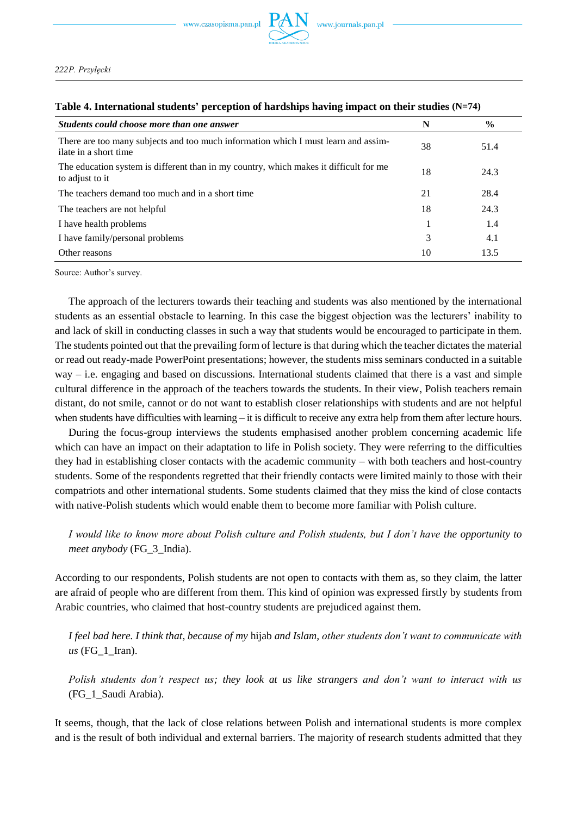



| Students could choose more than one answer                                                                  | N  | $\frac{6}{9}$ |
|-------------------------------------------------------------------------------------------------------------|----|---------------|
| There are too many subjects and too much information which I must learn and assim-<br>ilate in a short time | 38 | 51.4          |
| The education system is different than in my country, which makes it difficult for me<br>to adjust to it    | 18 | 24.3          |
| The teachers demand too much and in a short time                                                            | 21 | 28.4          |
| The teachers are not helpful                                                                                | 18 | 24.3          |
| I have health problems                                                                                      |    | 1.4           |
| I have family/personal problems                                                                             | 3  | 4.1           |
| Other reasons                                                                                               | 10 | 13.5          |

#### **Table 4. International students' perception of hardships having impact on their studies (N=74)**

Source: Author's survey.

The approach of the lecturers towards their teaching and students was also mentioned by the international students as an essential obstacle to learning. In this case the biggest objection was the lecturers' inability to and lack of skill in conducting classes in such a way that students would be encouraged to participate in them. The students pointed out that the prevailing form of lecture is that during which the teacher dictates the material or read out ready-made PowerPoint presentations; however, the students miss seminars conducted in a suitable way – i.e. engaging and based on discussions. International students claimed that there is a vast and simple cultural difference in the approach of the teachers towards the students. In their view, Polish teachers remain distant, do not smile, cannot or do not want to establish closer relationships with students and are not helpful when students have difficulties with learning – it is difficult to receive any extra help from them after lecture hours.

During the focus-group interviews the students emphasised another problem concerning academic life which can have an impact on their adaptation to life in Polish society. They were referring to the difficulties they had in establishing closer contacts with the academic community – with both teachers and host-country students. Some of the respondents regretted that their friendly contacts were limited mainly to those with their compatriots and other international students. Some students claimed that they miss the kind of close contacts with native-Polish students which would enable them to become more familiar with Polish culture.

*I would like to know more about Polish culture and Polish students, but I don't have the opportunity to meet anybody* (FG\_3\_India).

According to our respondents, Polish students are not open to contacts with them as, so they claim, the latter are afraid of people who are different from them. This kind of opinion was expressed firstly by students from Arabic countries, who claimed that host-country students are prejudiced against them.

*I feel bad here. I think that, because of my* hijab *and Islam, other students don't want to communicate with us* (FG\_1\_Iran).

*Polish students don't respect us; they look at us like strangers and don't want to interact with us*  (FG\_1\_Saudi Arabia).

It seems, though, that the lack of close relations between Polish and international students is more complex and is the result of both individual and external barriers. The majority of research students admitted that they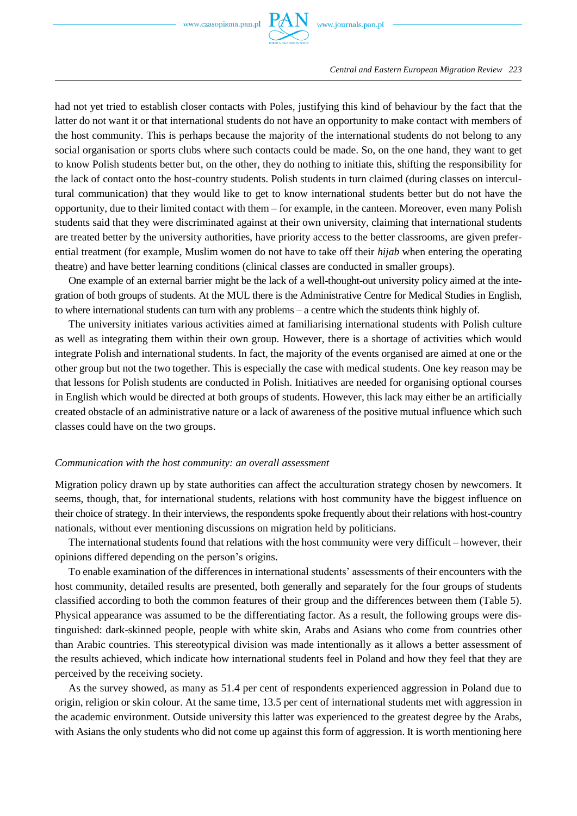

had not yet tried to establish closer contacts with Poles, justifying this kind of behaviour by the fact that the latter do not want it or that international students do not have an opportunity to make contact with members of the host community. This is perhaps because the majority of the international students do not belong to any social organisation or sports clubs where such contacts could be made. So, on the one hand, they want to get to know Polish students better but, on the other, they do nothing to initiate this, shifting the responsibility for the lack of contact onto the host-country students. Polish students in turn claimed (during classes on intercultural communication) that they would like to get to know international students better but do not have the opportunity, due to their limited contact with them – for example, in the canteen. Moreover, even many Polish students said that they were discriminated against at their own university, claiming that international students are treated better by the university authorities, have priority access to the better classrooms, are given preferential treatment (for example, Muslim women do not have to take off their *hijab* when entering the operating theatre) and have better learning conditions (clinical classes are conducted in smaller groups).

One example of an external barrier might be the lack of a well-thought-out university policy aimed at the integration of both groups of students. At the MUL there is the Administrative Centre for Medical Studies in English, to where international students can turn with any problems – a centre which the students think highly of.

The university initiates various activities aimed at familiarising international students with Polish culture as well as integrating them within their own group. However, there is a shortage of activities which would integrate Polish and international students. In fact, the majority of the events organised are aimed at one or the other group but not the two together. This is especially the case with medical students. One key reason may be that lessons for Polish students are conducted in Polish. Initiatives are needed for organising optional courses in English which would be directed at both groups of students. However, this lack may either be an artificially created obstacle of an administrative nature or a lack of awareness of the positive mutual influence which such classes could have on the two groups.

#### *Communication with the host community: an overall assessment*

Migration policy drawn up by state authorities can affect the acculturation strategy chosen by newcomers. It seems, though, that, for international students, relations with host community have the biggest influence on their choice of strategy. In their interviews, the respondents spoke frequently about their relations with host-country nationals, without ever mentioning discussions on migration held by politicians.

The international students found that relations with the host community were very difficult – however, their opinions differed depending on the person's origins.

To enable examination of the differences in international students' assessments of their encounters with the host community, detailed results are presented, both generally and separately for the four groups of students classified according to both the common features of their group and the differences between them (Table 5). Physical appearance was assumed to be the differentiating factor. As a result, the following groups were distinguished: dark-skinned people, people with white skin, Arabs and Asians who come from countries other than Arabic countries. This stereotypical division was made intentionally as it allows a better assessment of the results achieved, which indicate how international students feel in Poland and how they feel that they are perceived by the receiving society.

As the survey showed, as many as 51.4 per cent of respondents experienced aggression in Poland due to origin, religion or skin colour. At the same time, 13.5 per cent of international students met with aggression in the academic environment. Outside university this latter was experienced to the greatest degree by the Arabs, with Asians the only students who did not come up against this form of aggression. It is worth mentioning here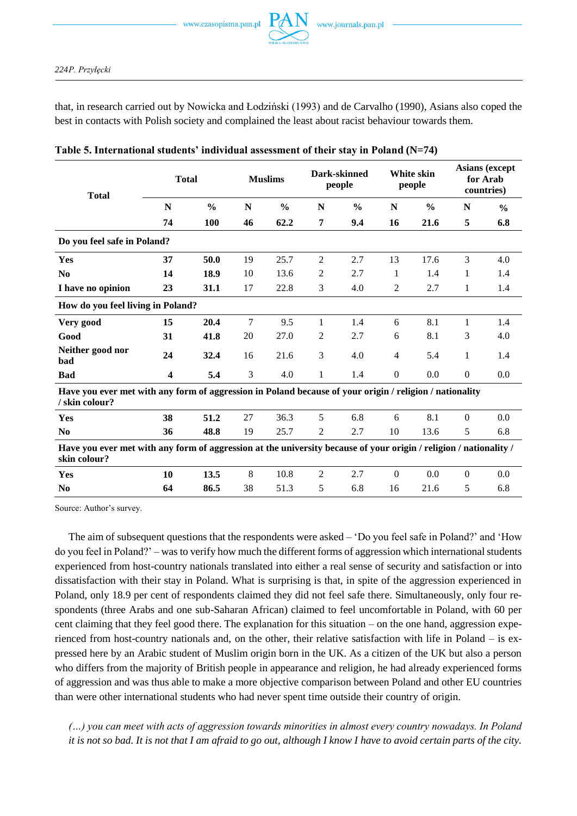

that, in research carried out by Nowicka and Łodziński (1993) and de Carvalho (1990), Asians also coped the best in contacts with Polish society and complained the least about racist behaviour towards them.

| <b>Total</b>                                                                                                                      |    | <b>Total</b>  |        | <b>Muslims</b> |                | Dark-skinned<br>people | White skin<br>people |               | <b>Asians</b> (except<br>for Arab<br>countries) |               |
|-----------------------------------------------------------------------------------------------------------------------------------|----|---------------|--------|----------------|----------------|------------------------|----------------------|---------------|-------------------------------------------------|---------------|
|                                                                                                                                   | N  | $\frac{0}{0}$ | N      | $\frac{0}{0}$  | N              | $\frac{0}{0}$          | N                    | $\frac{0}{0}$ | N                                               | $\frac{0}{0}$ |
|                                                                                                                                   | 74 | <b>100</b>    | 46     | 62.2           | 7              | 9.4                    | 16                   | 21.6          | 5                                               | 6.8           |
| Do you feel safe in Poland?                                                                                                       |    |               |        |                |                |                        |                      |               |                                                 |               |
| Yes                                                                                                                               | 37 | 50.0          | 19     | 25.7           | $\mathfrak{2}$ | 2.7                    | 13                   | 17.6          | 3                                               | 4.0           |
| N <sub>0</sub>                                                                                                                    | 14 | 18.9          | 10     | 13.6           | 2              | 2.7                    | $\mathbf{1}$         | 1.4           | 1                                               | 1.4           |
| I have no opinion                                                                                                                 | 23 | 31.1          | 17     | 22.8           | 3              | 4.0                    | $\overline{2}$       | 2.7           | 1                                               | 1.4           |
| How do you feel living in Poland?                                                                                                 |    |               |        |                |                |                        |                      |               |                                                 |               |
| Very good                                                                                                                         | 15 | 20.4          | $\tau$ | 9.5            | $\mathbf{1}$   | 1.4                    | 6                    | 8.1           | 1                                               | 1.4           |
| Good                                                                                                                              | 31 | 41.8          | 20     | 27.0           | $\overline{c}$ | 2.7                    | 6                    | 8.1           | 3                                               | 4.0           |
| Neither good nor<br>bad                                                                                                           | 24 | 32.4          | 16     | 21.6           | 3              | 4.0                    | $\overline{4}$       | 5.4           | 1                                               | 1.4           |
| <b>Bad</b>                                                                                                                        | 4  | 5.4           | 3      | 4.0            | 1              | 1.4                    | $\mathbf{0}$         | 0.0           | $\boldsymbol{0}$                                | 0.0           |
| Have you ever met with any form of aggression in Poland because of your origin / religion / nationality<br>/ skin colour?         |    |               |        |                |                |                        |                      |               |                                                 |               |
| Yes                                                                                                                               | 38 | 51.2          | 27     | 36.3           | 5              | 6.8                    | 6                    | 8.1           | $\Omega$                                        | 0.0           |
| No                                                                                                                                | 36 | 48.8          | 19     | 25.7           | 2              | 2.7                    | 10                   | 13.6          | 5                                               | 6.8           |
| Have you ever met with any form of aggression at the university because of your origin / religion / nationality /<br>skin colour? |    |               |        |                |                |                        |                      |               |                                                 |               |
| Yes                                                                                                                               | 10 | 13.5          | 8      | 10.8           | $\overline{2}$ | 2.7                    | $\mathbf{0}$         | 0.0           | $\theta$                                        | 0.0           |
| N <sub>0</sub>                                                                                                                    | 64 | 86.5          | 38     | 51.3           | 5              | 6.8                    | 16                   | 21.6          | 5                                               | 6.8           |

## **Table 5. International students' individual assessment of their stay in Poland (N=74)**

Source: Author's survey.

The aim of subsequent questions that the respondents were asked – 'Do you feel safe in Poland?' and 'How do you feel in Poland?' – was to verify how much the different forms of aggression which international students experienced from host-country nationals translated into either a real sense of security and satisfaction or into dissatisfaction with their stay in Poland. What is surprising is that, in spite of the aggression experienced in Poland, only 18.9 per cent of respondents claimed they did not feel safe there. Simultaneously, only four respondents (three Arabs and one sub-Saharan African) claimed to feel uncomfortable in Poland, with 60 per cent claiming that they feel good there. The explanation for this situation – on the one hand, aggression experienced from host-country nationals and, on the other, their relative satisfaction with life in Poland – is expressed here by an Arabic student of Muslim origin born in the UK. As a citizen of the UK but also a person who differs from the majority of British people in appearance and religion, he had already experienced forms of aggression and was thus able to make a more objective comparison between Poland and other EU countries than were other international students who had never spent time outside their country of origin.

*(…) you can meet with acts of aggression towards minorities in almost every country nowadays. In Poland it is not so bad. It is not that I am afraid to go out, although I know I have to avoid certain parts of the city.*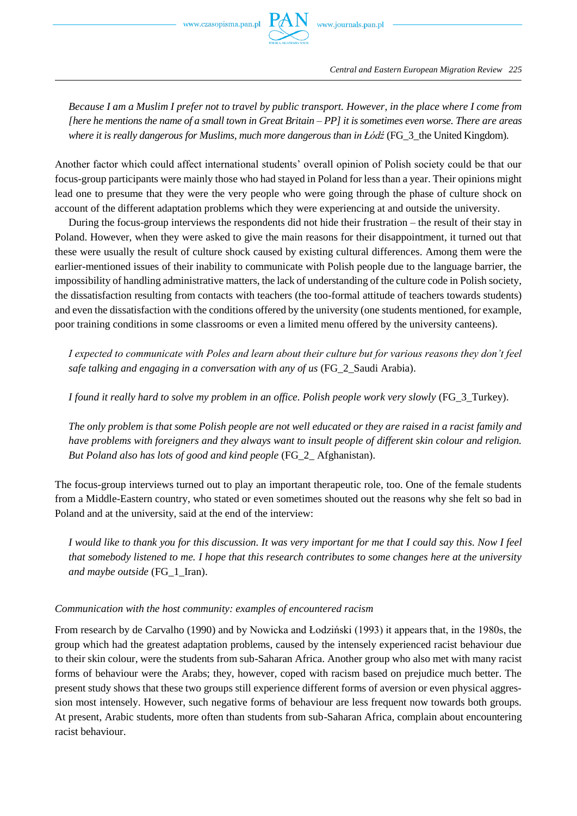

*Because I am a Muslim I prefer not to travel by public transport. However, in the place where I come from [here he mentions the name of a small town in Great Britain – PP] it is sometimes even worse. There are areas*  where it is really dangerous for Muslims, much more dangerous than in *Łódź* (FG\_3\_the United Kingdom).

Another factor which could affect international students' overall opinion of Polish society could be that our focus-group participants were mainly those who had stayed in Poland for less than a year. Their opinions might lead one to presume that they were the very people who were going through the phase of culture shock on account of the different adaptation problems which they were experiencing at and outside the university.

During the focus-group interviews the respondents did not hide their frustration – the result of their stay in Poland. However, when they were asked to give the main reasons for their disappointment, it turned out that these were usually the result of culture shock caused by existing cultural differences. Among them were the earlier-mentioned issues of their inability to communicate with Polish people due to the language barrier, the impossibility of handling administrative matters, the lack of understanding of the culture code in Polish society, the dissatisfaction resulting from contacts with teachers (the too-formal attitude of teachers towards students) and even the dissatisfaction with the conditions offered by the university (one students mentioned, for example, poor training conditions in some classrooms or even a limited menu offered by the university canteens).

*I expected to communicate with Poles and learn about their culture but for various reasons they don't feel safe talking and engaging in a conversation with any of us (FG 2 Saudi Arabia).* 

*I found it really hard to solve my problem in an office. Polish people work very slowly (FG\_3\_Turkey).* 

*The only problem is that some Polish people are not well educated or they are raised in a racist family and have problems with foreigners and they always want to insult people of different skin colour and religion. But Poland also has lots of good and kind people* (FG\_2\_ Afghanistan).

The focus-group interviews turned out to play an important therapeutic role, too. One of the female students from a Middle-Eastern country, who stated or even sometimes shouted out the reasons why she felt so bad in Poland and at the university, said at the end of the interview:

*I would like to thank you for this discussion. It was very important for me that I could say this. Now I feel that somebody listened to me. I hope that this research contributes to some changes here at the university and maybe outside* (FG\_1\_Iran).

## *Communication with the host community: examples of encountered racism*

From research by de Carvalho (1990) and by Nowicka and Łodziński (1993) it appears that, in the 1980s, the group which had the greatest adaptation problems, caused by the intensely experienced racist behaviour due to their skin colour, were the students from sub-Saharan Africa. Another group who also met with many racist forms of behaviour were the Arabs; they, however, coped with racism based on prejudice much better. The present study shows that these two groups still experience different forms of aversion or even physical aggression most intensely. However, such negative forms of behaviour are less frequent now towards both groups. At present, Arabic students, more often than students from sub-Saharan Africa, complain about encountering racist behaviour.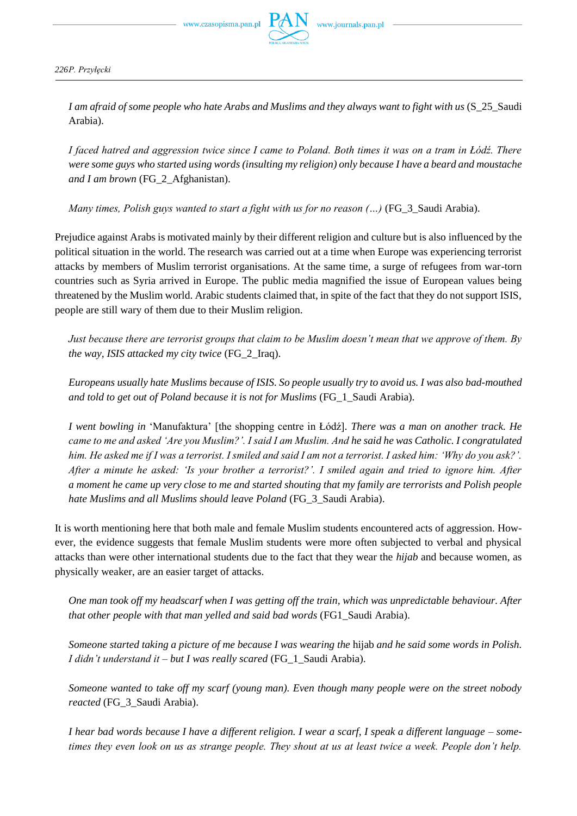

*226P. Przyłęcki*

*I am afraid of some people who hate Arabs and Muslims and they always want to fight with us (S 25 Saudi*) Arabia).

*I faced hatred and aggression twice since I came to Poland. Both times it was on a tram in Łódź. There were some guys who started using words (insulting my religion) only because I have a beard and moustache and I am brown* (FG\_2\_Afghanistan).

*Many times, Polish guys wanted to start a fight with us for no reason (...)* (FG 3 Saudi Arabia).

Prejudice against Arabs is motivated mainly by their different religion and culture but is also influenced by the political situation in the world. The research was carried out at a time when Europe was experiencing terrorist attacks by members of Muslim terrorist organisations. At the same time, a surge of refugees from war-torn countries such as Syria arrived in Europe. The public media magnified the issue of European values being threatened by the Muslim world. Arabic students claimed that, in spite of the fact that they do not support ISIS, people are still wary of them due to their Muslim religion.

*Just because there are terrorist groups that claim to be Muslim doesn't mean that we approve of them. By the way, ISIS attacked my city twice* (FG\_2\_Iraq).

*Europeans usually hate Muslims because of ISIS. So people usually try to avoid us. I was also bad-mouthed and told to get out of Poland because it is not for Muslims* (FG\_1\_Saudi Arabia).

*I went bowling in* 'Manufaktura' [the shopping centre in Łódź]*. There was a man on another track. He came to me and asked 'Are you Muslim?'. I said I am Muslim. And he said he was Catholic. I congratulated him. He asked me if I was a terrorist. I smiled and said I am not a terrorist. I asked him: 'Why do you ask?'. After a minute he asked: 'Is your brother a terrorist?'. I smiled again and tried to ignore him. After a moment he came up very close to me and started shouting that my family are terrorists and Polish people hate Muslims and all Muslims should leave Poland* (FG\_3\_Saudi Arabia).

It is worth mentioning here that both male and female Muslim students encountered acts of aggression. However, the evidence suggests that female Muslim students were more often subjected to verbal and physical attacks than were other international students due to the fact that they wear the *hijab* and because women, as physically weaker, are an easier target of attacks.

*One man took off my headscarf when I was getting off the train, which was unpredictable behaviour. After that other people with that man yelled and said bad words* (FG1\_Saudi Arabia).

*Someone started taking a picture of me because I was wearing the* hijab *and he said some words in Polish. I didn't understand it – but I was really scared* (FG\_1\_Saudi Arabia).

*Someone wanted to take off my scarf (young man). Even though many people were on the street nobody reacted* (FG\_3\_Saudi Arabia).

*I hear bad words because I have a different religion. I wear a scarf, I speak a different language – sometimes they even look on us as strange people. They shout at us at least twice a week. People don't help.*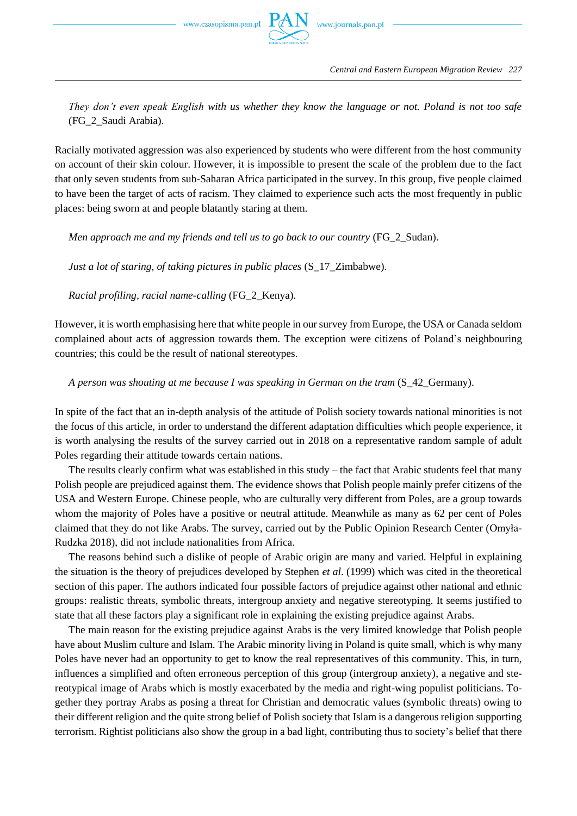*Central and Eastern European Migration Review 227*

*They don't even speak English with us whether they know the language or not. Poland is not too safe*  (FG\_2\_Saudi Arabia).

Racially motivated aggression was also experienced by students who were different from the host community on account of their skin colour. However, it is impossible to present the scale of the problem due to the fact that only seven students from sub-Saharan Africa participated in the survey. In this group, five people claimed to have been the target of acts of racism. They claimed to experience such acts the most frequently in public places: being sworn at and people blatantly staring at them.

*Men approach me and my friends and tell us to go back to our country (FG 2 Sudan).* 

*Just a lot of staring, of taking pictures in public places (S\_17\_Zimbabwe).* 

*Racial profiling, racial name-calling* (FG\_2\_Kenya).

However, it is worth emphasising here that white people in our survey from Europe, the USA or Canada seldom complained about acts of aggression towards them. The exception were citizens of Poland's neighbouring countries; this could be the result of national stereotypes.

*A person was shouting at me because I was speaking in German on the tram (S 42 Germany).* 

In spite of the fact that an in-depth analysis of the attitude of Polish society towards national minorities is not the focus of this article, in order to understand the different adaptation difficulties which people experience, it is worth analysing the results of the survey carried out in 2018 on a representative random sample of adult Poles regarding their attitude towards certain nations.

The results clearly confirm what was established in this study – the fact that Arabic students feel that many Polish people are prejudiced against them. The evidence shows that Polish people mainly prefer citizens of the USA and Western Europe. Chinese people, who are culturally very different from Poles, are a group towards whom the majority of Poles have a positive or neutral attitude. Meanwhile as many as 62 per cent of Poles claimed that they do not like Arabs. The survey, carried out by the Public Opinion Research Center (Omyła-Rudzka 2018), did not include nationalities from Africa.

The reasons behind such a dislike of people of Arabic origin are many and varied. Helpful in explaining the situation is the theory of prejudices developed by Stephen *et al*. (1999) which was cited in the theoretical section of this paper. The authors indicated four possible factors of prejudice against other national and ethnic groups: realistic threats, symbolic threats, intergroup anxiety and negative stereotyping. It seems justified to state that all these factors play a significant role in explaining the existing prejudice against Arabs.

The main reason for the existing prejudice against Arabs is the very limited knowledge that Polish people have about Muslim culture and Islam. The Arabic minority living in Poland is quite small, which is why many Poles have never had an opportunity to get to know the real representatives of this community. This, in turn, influences a simplified and often erroneous perception of this group (intergroup anxiety), a negative and stereotypical image of Arabs which is mostly exacerbated by the media and right-wing populist politicians. Together they portray Arabs as posing a threat for Christian and democratic values (symbolic threats) owing to their different religion and the quite strong belief of Polish society that Islam is a dangerous religion supporting terrorism. Rightist politicians also show the group in a bad light, contributing thus to society's belief that there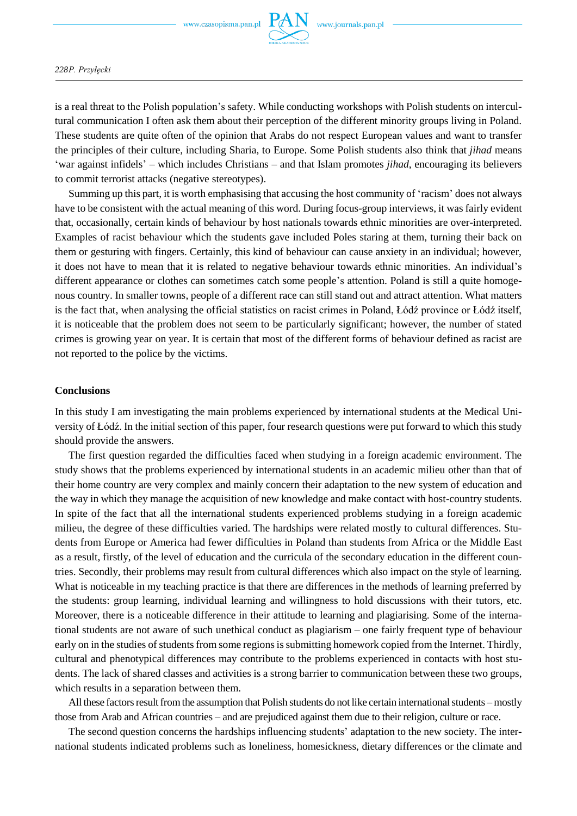

*228P. Przyłęcki*

is a real threat to the Polish population's safety. While conducting workshops with Polish students on intercultural communication I often ask them about their perception of the different minority groups living in Poland. These students are quite often of the opinion that Arabs do not respect European values and want to transfer the principles of their culture, including Sharia, to Europe. Some Polish students also think that *jihad* means 'war against infidels' – which includes Christians – and that Islam promotes *jihad*, encouraging its believers to commit terrorist attacks (negative stereotypes).

Summing up this part, it is worth emphasising that accusing the host community of 'racism' does not always have to be consistent with the actual meaning of this word. During focus-group interviews, it was fairly evident that, occasionally, certain kinds of behaviour by host nationals towards ethnic minorities are over-interpreted. Examples of racist behaviour which the students gave included Poles staring at them, turning their back on them or gesturing with fingers. Certainly, this kind of behaviour can cause anxiety in an individual; however, it does not have to mean that it is related to negative behaviour towards ethnic minorities. An individual's different appearance or clothes can sometimes catch some people's attention. Poland is still a quite homogenous country. In smaller towns, people of a different race can still stand out and attract attention. What matters is the fact that, when analysing the official statistics on racist crimes in Poland, Łódź province or Łódź itself, it is noticeable that the problem does not seem to be particularly significant; however, the number of stated crimes is growing year on year. It is certain that most of the different forms of behaviour defined as racist are not reported to the police by the victims.

#### **Conclusions**

In this study I am investigating the main problems experienced by international students at the Medical University of Łódź. In the initial section of this paper, four research questions were put forward to which this study should provide the answers.

The first question regarded the difficulties faced when studying in a foreign academic environment. The study shows that the problems experienced by international students in an academic milieu other than that of their home country are very complex and mainly concern their adaptation to the new system of education and the way in which they manage the acquisition of new knowledge and make contact with host-country students. In spite of the fact that all the international students experienced problems studying in a foreign academic milieu, the degree of these difficulties varied. The hardships were related mostly to cultural differences. Students from Europe or America had fewer difficulties in Poland than students from Africa or the Middle East as a result, firstly, of the level of education and the curricula of the secondary education in the different countries. Secondly, their problems may result from cultural differences which also impact on the style of learning. What is noticeable in my teaching practice is that there are differences in the methods of learning preferred by the students: group learning, individual learning and willingness to hold discussions with their tutors, etc. Moreover, there is a noticeable difference in their attitude to learning and plagiarising. Some of the international students are not aware of such unethical conduct as plagiarism – one fairly frequent type of behaviour early on in the studies of students from some regions is submitting homework copied from the Internet. Thirdly, cultural and phenotypical differences may contribute to the problems experienced in contacts with host students. The lack of shared classes and activities is a strong barrier to communication between these two groups, which results in a separation between them.

All these factors result from the assumption that Polish students do not like certain international students – mostly those from Arab and African countries – and are prejudiced against them due to their religion, culture or race.

The second question concerns the hardships influencing students' adaptation to the new society. The international students indicated problems such as loneliness, homesickness, dietary differences or the climate and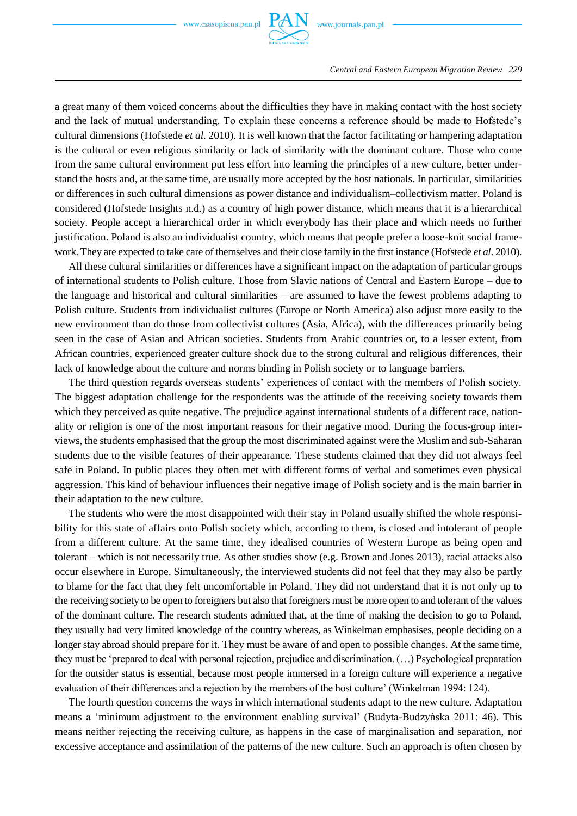

a great many of them voiced concerns about the difficulties they have in making contact with the host society and the lack of mutual understanding. To explain these concerns a reference should be made to Hofstede's cultural dimensions (Hofstede *et al.* 2010). It is well known that the factor facilitating or hampering adaptation is the cultural or even religious similarity or lack of similarity with the dominant culture. Those who come from the same cultural environment put less effort into learning the principles of a new culture, better understand the hosts and, at the same time, are usually more accepted by the host nationals. In particular, similarities or differences in such cultural dimensions as power distance and individualism–collectivism matter. Poland is considered (Hofstede Insights n.d.) as a country of high power distance, which means that it is a hierarchical society. People accept a hierarchical order in which everybody has their place and which needs no further justification. Poland is also an individualist country, which means that people prefer a loose-knit social framework. They are expected to take care of themselves and their close family in the first instance (Hofstede *et al*. 2010).

All these cultural similarities or differences have a significant impact on the adaptation of particular groups of international students to Polish culture. Those from Slavic nations of Central and Eastern Europe – due to the language and historical and cultural similarities – are assumed to have the fewest problems adapting to Polish culture. Students from individualist cultures (Europe or North America) also adjust more easily to the new environment than do those from collectivist cultures (Asia, Africa), with the differences primarily being seen in the case of Asian and African societies. Students from Arabic countries or, to a lesser extent, from African countries, experienced greater culture shock due to the strong cultural and religious differences, their lack of knowledge about the culture and norms binding in Polish society or to language barriers.

The third question regards overseas students' experiences of contact with the members of Polish society. The biggest adaptation challenge for the respondents was the attitude of the receiving society towards them which they perceived as quite negative. The prejudice against international students of a different race, nationality or religion is one of the most important reasons for their negative mood. During the focus-group interviews, the students emphasised that the group the most discriminated against were the Muslim and sub-Saharan students due to the visible features of their appearance. These students claimed that they did not always feel safe in Poland. In public places they often met with different forms of verbal and sometimes even physical aggression. This kind of behaviour influences their negative image of Polish society and is the main barrier in their adaptation to the new culture.

The students who were the most disappointed with their stay in Poland usually shifted the whole responsibility for this state of affairs onto Polish society which, according to them, is closed and intolerant of people from a different culture. At the same time, they idealised countries of Western Europe as being open and tolerant – which is not necessarily true. As other studies show (e.g. Brown and Jones 2013), racial attacks also occur elsewhere in Europe. Simultaneously, the interviewed students did not feel that they may also be partly to blame for the fact that they felt uncomfortable in Poland. They did not understand that it is not only up to the receiving society to be open to foreigners but also that foreigners must be more open to and tolerant of the values of the dominant culture. The research students admitted that, at the time of making the decision to go to Poland, they usually had very limited knowledge of the country whereas, as Winkelman emphasises, people deciding on a longer stay abroad should prepare for it. They must be aware of and open to possible changes. At the same time, they must be 'prepared to deal with personal rejection, prejudice and discrimination. (…) Psychological preparation for the outsider status is essential, because most people immersed in a foreign culture will experience a negative evaluation of their differences and a rejection by the members of the host culture' (Winkelman 1994: 124).

The fourth question concerns the ways in which international students adapt to the new culture. Adaptation means a 'minimum adjustment to the environment enabling survival' (Budyta-Budzyńska 2011: 46). This means neither rejecting the receiving culture, as happens in the case of marginalisation and separation, nor excessive acceptance and assimilation of the patterns of the new culture. Such an approach is often chosen by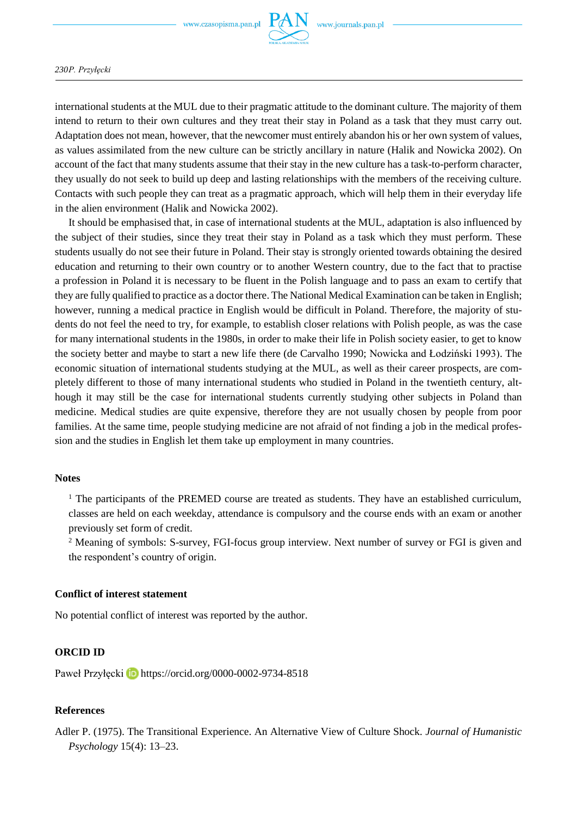

international students at the MUL due to their pragmatic attitude to the dominant culture. The majority of them intend to return to their own cultures and they treat their stay in Poland as a task that they must carry out. Adaptation does not mean, however, that the newcomer must entirely abandon his or her own system of values, as values assimilated from the new culture can be strictly ancillary in nature (Halik and Nowicka 2002). On account of the fact that many students assume that their stay in the new culture has a task-to-perform character, they usually do not seek to build up deep and lasting relationships with the members of the receiving culture. Contacts with such people they can treat as a pragmatic approach, which will help them in their everyday life in the alien environment (Halik and Nowicka 2002).

It should be emphasised that, in case of international students at the MUL, adaptation is also influenced by the subject of their studies, since they treat their stay in Poland as a task which they must perform. These students usually do not see their future in Poland. Their stay is strongly oriented towards obtaining the desired education and returning to their own country or to another Western country, due to the fact that to practise a profession in Poland it is necessary to be fluent in the Polish language and to pass an exam to certify that they are fully qualified to practice as a doctor there. The National Medical Examination can be taken in English; however, running a medical practice in English would be difficult in Poland. Therefore, the majority of students do not feel the need to try, for example, to establish closer relations with Polish people, as was the case for many international students in the 1980s, in order to make their life in Polish society easier, to get to know the society better and maybe to start a new life there (de Carvalho 1990; Nowicka and Łodziński 1993). The economic situation of international students studying at the MUL, as well as their career prospects, are completely different to those of many international students who studied in Poland in the twentieth century, although it may still be the case for international students currently studying other subjects in Poland than medicine. Medical studies are quite expensive, therefore they are not usually chosen by people from poor families. At the same time, people studying medicine are not afraid of not finding a job in the medical profession and the studies in English let them take up employment in many countries.

#### **Notes**

<sup>1</sup> The participants of the PREMED course are treated as students. They have an established curriculum, classes are held on each weekday, attendance is compulsory and the course ends with an exam or another previously set form of credit.

<sup>2</sup> Meaning of symbols: S-survey, FGI-focus group interview. Next number of survey or FGI is given and the respondent's country of origin.

## **Conflict of interest statement**

No potential conflict of interest was reported by the author.

## **ORCID ID**

Paweł Przyłęcki **https://orcid.org/0000-0002-9734-8518** 

## **References**

Adler P. (1975). The Transitional Experience. An Alternative View of Culture Shock. *Journal of Humanistic Psychology* 15(4): 13–23.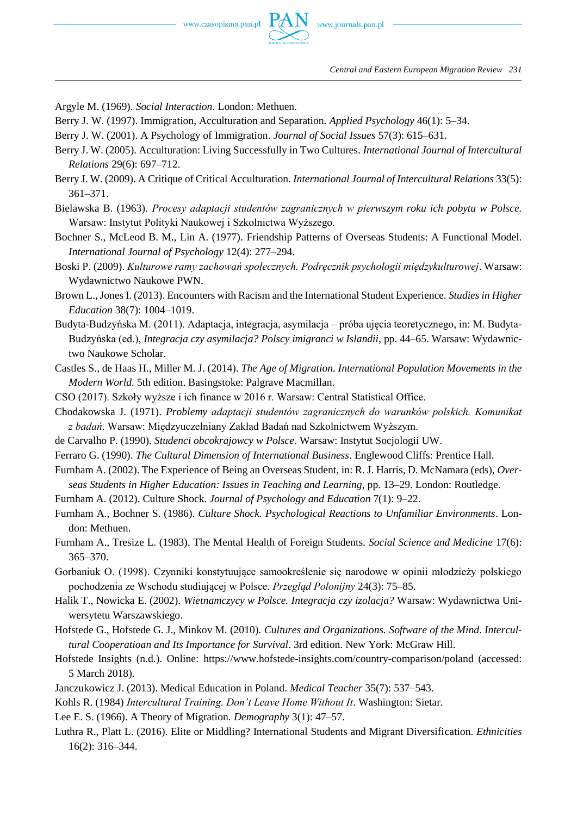

Argyle M. (1969). *Social Interaction*. London: Methuen.

- Berry J. W. (1997). Immigration, Acculturation and Separation. *Applied Psychology* 46(1): 5–34.
- Berry J. W. (2001). A Psychology of Immigration. *Journal of Social Issues* 57(3): 615–631.
- Berry J. W. (2005). Acculturation: Living Successfully in Two Cultures. *International Journal of Intercultural Relations* 29(6): 697–712.
- Berry J. W. (2009). A Critique of Critical Acculturation. *International Journal of Intercultural Relations* 33(5): 361–371.
- Bielawska B. (1963). *Procesy adaptacji studentów zagranicznych w pierwszym roku ich pobytu w Polsce.*  Warsaw: Instytut Polityki Naukowej i Szkolnictwa Wyższego.
- Bochner S., McLeod B. M., Lin A. (1977). Friendship Patterns of Overseas Students: A Functional Model. *International Journal of Psychology* 12(4): 277–294.
- Boski P. (2009). *Kulturowe ramy zachowań społecznych. Podręcznik psychologii międzykulturowej*. Warsaw: Wydawnictwo Naukowe PWN.
- Brown L., Jones I. (2013). Encounters with Racism and the International Student Experience. *Studies in Higher Education* 38(7): 1004–1019.
- Budyta-Budzyńska M. (2011). Adaptacja, integracja, asymilacja próba ujęcia teoretycznego, in: M. Budyta-Budzyńska (ed.), *Integracja czy asymilacja? Polscy imigranci w Islandii*, pp. 44–65. Warsaw: Wydawnictwo Naukowe Scholar.
- Castles S., de Haas H., Miller M. J. (2014). *The Age of Migration. International Population Movements in the Modern World.* 5th edition. Basingstoke: Palgrave Macmillan.
- CSO (2017). Szkoły wyższe i ich finance w 2016 r. Warsaw: Central Statistical Office.
- Chodakowska J. (1971). *Problemy adaptacji studentów zagranicznych do warunków polskich. Komunikat z badań*. Warsaw: Międzyuczelniany Zakład Badań nad Szkolnictwem Wyższym.
- de Carvalho P. (1990). *Studenci obcokrajowcy w Polsce*. Warsaw: Instytut Socjologii UW.
- Ferraro G. (1990). *The Cultural Dimension of International Business*. Englewood Cliffs: Prentice Hall.
- Furnham A. (2002). The Experience of Being an Overseas Student*,* in: R. J. Harris, D. McNamara (eds), *Overseas Students in Higher Education: Issues in Teaching and Learning*, pp. 13–29. London: Routledge.
- Furnham A. (2012). Culture Shock. *Journal of Psychology and Education* 7(1): 9–22.
- Furnham A., Bochner S. (1986). *Culture Shock. Psychological Reactions to Unfamiliar Environments*. London: Methuen.
- Furnham A., Tresize L. (1983). The Mental Health of Foreign Students. *Social Science and Medicine* 17(6): 365–370.
- Gorbaniuk O. (1998). Czynniki konstytuujące samookreślenie się narodowe w opinii młodzieży polskiego pochodzenia ze Wschodu studiującej w Polsce. *Przegląd Polonijny* 24(3): 75–85.
- Halik T., Nowicka E. (2002). *Wietnamczycy w Polsce. Integracja czy izolacja?* Warsaw: Wydawnictwa Uniwersytetu Warszawskiego.
- Hofstede G., Hofstede G. J., Minkov M. (2010). *Cultures and Organizations. Software of the Mind. Intercultural Cooperatioan and Its Importance for Survival*. 3rd edition. New York: McGraw Hill.
- Hofstede Insights (n.d.). Online: https://www.hofstede-insights.com/country-comparison/poland (accessed: 5 March 2018).
- Janczukowicz J. (2013). Medical Education in Poland. *Medical Teacher* 35(7): 537–543.
- Kohls R. (1984) *Intercultural Training. Don't Leave Home Without It*. Washington: Sietar.
- Lee E. S. (1966). A Theory of Migration. *Demography* 3(1): 47–57.
- Luthra R., Platt L. (2016). Elite or Middling? International Students and Migrant Diversification. *Ethnicities* 16(2): 316–344.